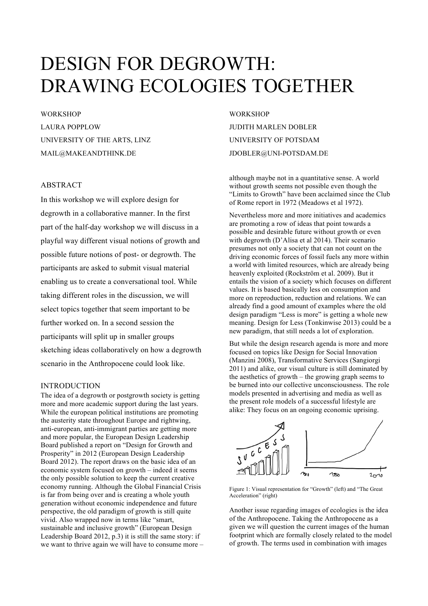# DESIGN FOR DEGROWTH: DRAWING ECOLOGIES TOGETHER

**WORKSHOP** LAURA POPPLOW UNIVERSITY OF THE ARTS, LINZ MAIL@MAKEANDTHINK.DE

## ABSTRACT

In this workshop we will explore design for degrowth in a collaborative manner. In the first part of the half-day workshop we will discuss in a playful way different visual notions of growth and possible future notions of post- or degrowth. The participants are asked to submit visual material enabling us to create a conversational tool. While taking different roles in the discussion, we will select topics together that seem important to be further worked on. In a second session the participants will split up in smaller groups sketching ideas collaboratively on how a degrowth scenario in the Anthropocene could look like.

## INTRODUCTION

The idea of a degrowth or postgrowth society is getting more and more academic support during the last years. While the european political institutions are promoting the austerity state throughout Europe and rightwing, anti-european, anti-immigrant parties are getting more and more popular, the European Design Leadership Board published a report on "Design for Growth and Prosperity" in 2012 (European Design Leadership Board 2012). The report draws on the basic idea of an economic system focused on growth – indeed it seems the only possible solution to keep the current creative economy running. Although the Global Financial Crisis is far from being over and is creating a whole youth generation without economic independence and future perspective, the old paradigm of growth is still quite vivid. Also wrapped now in terms like "smart, sustainable and inclusive growth" (European Design Leadership Board 2012, p.3) it is still the same story: if we want to thrive again we will have to consume more –

**WORKSHOP** JUDITH MARLEN DOBLER UNIVERSITY OF POTSDAM JDOBLER@UNI-POTSDAM.DE

although maybe not in a quantitative sense. A world without growth seems not possible even though the "Limits to Growth" have been acclaimed since the Club of Rome report in 1972 (Meadows et al 1972).

Nevertheless more and more initiatives and academics are promoting a row of ideas that point towards a possible and desirable future without growth or even with degrowth (D'Alisa et al 2014). Their scenario presumes not only a society that can not count on the driving economic forces of fossil fuels any more within a world with limited resources, which are already being heavenly exploited (Rockström et al. 2009). But it entails the vision of a society which focuses on different values. It is based basically less on consumption and more on reproduction, reduction and relations. We can already find a good amount of examples where the old design paradigm "Less is more" is getting a whole new meaning. Design for Less (Tonkinwise 2013) could be a new paradigm, that still needs a lot of exploration.

But while the design research agenda is more and more focused on topics like Design for Social Innovation (Manzini 2008), Transformative Services (Sangiorgi 2011) and alike, our visual culture is still dominated by the aesthetics of growth – the growing graph seems to be burned into our collective unconsciousness. The role models presented in advertising and media as well as the present role models of a successful lifestyle are alike: They focus on an ongoing economic uprising.



Figure 1: Visual representation for "Growth" (left) and "The Great Acceleration" (right)

Another issue regarding images of ecologies is the idea of the Anthropocene. Taking the Anthropocene as a given we will question the current images of the human footprint which are formally closely related to the model of growth. The terms used in combination with images